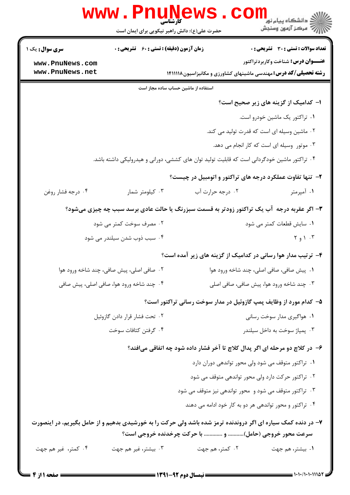|                                   | کارشناسی<br>حضرت علی(ع): دانش راهبر نیکویی برای ایمان است | www.PnuNews.co                                       | ڪ دانشڪاه پيا <sub>م</sub> نور<br>ا√ مرڪز آزمون وسنڊش                                                        |  |
|-----------------------------------|-----------------------------------------------------------|------------------------------------------------------|--------------------------------------------------------------------------------------------------------------|--|
| <b>سری سوال :</b> یک ۱            | <b>زمان آزمون (دقیقه) : تستی : 60 ٪ تشریحی : 0</b>        |                                                      | <b>تعداد سوالات : تستی : 30 ٪ تشریحی : 0</b>                                                                 |  |
| www.PnuNews.com                   |                                                           |                                                      | <b>عنـــوان درس:</b> شناخت وكاربردتراكتور                                                                    |  |
| www.PnuNews.net                   |                                                           |                                                      | <b>رشته تحصیلی/کد درس:</b> مهندسی ماشینهای کشاورزی و مکانیزاسیون۱۴۱۱۱۱۸                                      |  |
|                                   |                                                           | استفاده از ماشین حساب ساده مجاز است                  |                                                                                                              |  |
|                                   |                                                           |                                                      | ا– کدامیک از گزینه های زیر صحیح است؟                                                                         |  |
|                                   |                                                           |                                                      | ٠١ تراكتور يك ماشين خودرو است.                                                                               |  |
|                                   | ۰۲ ماشین وسیله ای است که قدرت تولید می کند.               |                                                      |                                                                                                              |  |
|                                   |                                                           |                                                      | ۰۳ موتور وسیله ای است که کار انجام می دهد.                                                                   |  |
|                                   |                                                           |                                                      | ۰۴ تراکتور ماشین خودگردانی است که قابلیت تولید توان های کششی، دورانی و هیدرولیکی داشته باشد.                 |  |
|                                   |                                                           |                                                      | ۲- تنها تفاوت عملکرد درجه های تراکتور و اتومبیل در چیست؟                                                     |  |
| ۰۴ درجه فشار روغن                 | ۰۳ کیلومتر شمار                                           | ۰۲ درجه حرارت آب                                     | ۰۱ آمپرمتر                                                                                                   |  |
|                                   |                                                           |                                                      | ۳- اگر عقربه درجه آب یک تراکتور زودتر به قسمت سبزرنگ یا حالت عادی برسد سبب چه چیزی میشود؟                    |  |
|                                   | ۰۲ مصرف سوخت کمتر می شود                                  |                                                      | ٠١ سايش قطعات كمتر مي شود                                                                                    |  |
|                                   | ۰۴ سبب ذوب شدن سیلندر می شود                              |                                                      | $Y_1 \cap Y_2$                                                                                               |  |
|                                   |                                                           |                                                      | ۴- ترتیب مدار هوا رسانی در کدامیک از گزینه های زیر آمده است؟                                                 |  |
|                                   | ۰۲ صافی اصلی، پیش صافی، چند شاخه ورود هوا                 |                                                      | ٠١. پيش صافي، صافي اصلي، چند شاخه ورود هوا                                                                   |  |
|                                   | ۰۴ چند شاخه ورود هوا، صافی اصلی، پیش صافی                 |                                                      | ۰۳ چند شاخه ورود هوا، پیش صافی، صافی اصلی                                                                    |  |
|                                   |                                                           |                                                      | ۵– کدام مورد از وظایف پمپ گازوئیل در مدار سوخت رسانی تراکتور است؟                                            |  |
|                                   | ۰۲ تحت فشار قرار دادن گازوئیل                             |                                                      | ۰۱ هواگیری مدار سوخت رسانی                                                                                   |  |
|                                   | ۰۴ گرفتن كثافات سوخت                                      |                                                      | ۰۳ پمپاژ سوخت به داخل سیلندر                                                                                 |  |
|                                   |                                                           |                                                      | ۶– در کلاچ دو مرحله ای اگر پدال کلاچ تا آخر فشار داده شود چه اتفاقی میافتد؟                                  |  |
|                                   |                                                           |                                                      | ۰۱ تراکتور متوقف می شود ولی محور تواندهی دوران دارد                                                          |  |
|                                   |                                                           |                                                      | ۰۲ تراکتور حرکت دارد ولی محور تواندهی متوقف می شود                                                           |  |
|                                   |                                                           |                                                      | ۰۳ تراکتور متوقف می شود و محور تواندهی نیز متوقف می شود                                                      |  |
|                                   |                                                           |                                                      | ۰۴ تراکتور و محور تواندهی هر دو به کار خود ادامه می دهند                                                     |  |
|                                   |                                                           | سرعت محور خروجی (حامل) و  با حرکت چرخدنده خروجی است؟ | ۷– در دنده کمک سیاره ای اگر دروندنده ترمز شده باشد ولی حرکت را به خورشیدی بدهیم و از حامل بگیریم، در اینصورت |  |
| ۰۴ کمتر، غیر هم جهت               | ۰۳ بیشتر، غیر هم جهت                                      | ۰۲ کمتر، هم جهت                                      | ۰۱ بیشتر، هم جهت                                                                                             |  |
| ـــــــــــــــــ صفحه 1 از 4 ــا |                                                           |                                                      |                                                                                                              |  |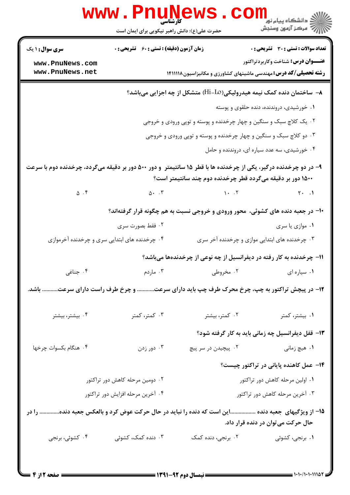|                                                                                                                                                                                 | <b>www.PnuNews</b><br>حضرت علی(ع): دانش راهبر نیکویی برای ایمان است     |                                                                                | ر دانشگاه پيام نور <mark>−</mark><br>ار <i>آهر کز</i> آزمون وسنجش |  |  |
|---------------------------------------------------------------------------------------------------------------------------------------------------------------------------------|-------------------------------------------------------------------------|--------------------------------------------------------------------------------|-------------------------------------------------------------------|--|--|
| <b>سری سوال : ۱ یک</b>                                                                                                                                                          | <b>زمان آزمون (دقیقه) : تستی : 60 ٪ تشریحی : 0</b>                      |                                                                                | <b>تعداد سوالات : تستی : 30 ٪ تشریحی : 0</b>                      |  |  |
| www.PnuNews.com                                                                                                                                                                 |                                                                         |                                                                                | <b>عنـــوان درس:</b> شناخت وكاربردتراكتور                         |  |  |
| www.PnuNews.net                                                                                                                                                                 | <b>رشته تحصیلی/کد درس:</b> مهندسی ماشینهای کشاورزی و مکانیزاسیون۱۴۱۱۱۱۸ |                                                                                |                                                                   |  |  |
|                                                                                                                                                                                 |                                                                         | ۸− ساختمان دنده کمک نیمه هیدرولیکی(Hi-Lo) متشکل از چه اجزایی میباشد؟           |                                                                   |  |  |
|                                                                                                                                                                                 |                                                                         |                                                                                | ۰۱ خورشیدی، دروندنده، دنده حلقوی و پوسته                          |  |  |
|                                                                                                                                                                                 |                                                                         | ۰۲ یک کلاچ سبک و سنگین و چهار چرخدنده و پوسته و توپی ورودی و خروجی             |                                                                   |  |  |
|                                                                                                                                                                                 |                                                                         | ۰۳ دو کلاچ سبک و سنگین و چهار چرخدنده و پوسته و توپی ورودی و خروجی             |                                                                   |  |  |
|                                                                                                                                                                                 |                                                                         |                                                                                | ۰۴ خورشیدی، سه عدد سیاره ای، دروندنده و حامل                      |  |  |
| ۹- در دو چرخدنده درگیر، یکی از چرخدنده ها با قطر ۱۵ سانتیمتر ً و دور ۵۰۰ دور بر دقیقه میگردد، چرخدنده دوم با سرعت<br>۱۵۰۰ دور بر دقیقه میگردد قطر چرخدنده دوم چند سانتیمتر است؟ |                                                                         |                                                                                |                                                                   |  |  |
| $\Delta$ .۴                                                                                                                                                                     | $\Delta$ . $\mathsf{r}$                                                 | $\mathcal{N}$ . T                                                              | $\uparrow\cdot\quad .$                                            |  |  |
|                                                                                                                                                                                 |                                                                         | ۱۰– در جعبه دنده های کشوئی، محور ورودی و خروجی نسبت به هم چگونه قرار گرفتهاند؟ |                                                                   |  |  |
|                                                                                                                                                                                 | ۰۲ فقط بصورت سری                                                        |                                                                                | ۰۱ موازی یا سری                                                   |  |  |
|                                                                                                                                                                                 | ۰۴ چرخدنده های ابتدایی سری و چرخدنده آخرموازی                           |                                                                                | ۰۳ چرخدنده های ابتدایی موازی و چرخدنده آخر سری                    |  |  |
|                                                                                                                                                                                 |                                                                         | ۱۱- چرخدنده به کار رفته در دیفرانسیل از چه نوعی از چرخدندهها میباشد؟           |                                                                   |  |  |
| ۰۴ جناغی                                                                                                                                                                        |                                                                         | ۰۱ سیاره ای مسلم تروطی در سال ۲۰۰۳ میلادم                                      |                                                                   |  |  |
| ۱۲- در پیچش تراکتور به چپ، چرخ محرک طرف چپ باید دارای سرعت و چرخ طرف راست دارای سرعت باشد.                                                                                      |                                                                         |                                                                                |                                                                   |  |  |
| ۰۴ بیشتر، بیشتر                                                                                                                                                                 | ۰۳ کمتر، کمتر                                                           | ۰۲ کمتر، بیشتر                                                                 | ۰۱ بیشتر، کمتر                                                    |  |  |
|                                                                                                                                                                                 |                                                                         |                                                                                | ۱۳- قفل دیفرانسیل چه زمانی باید به کار گرفته شود؟                 |  |  |
| ۰۴ هنگام بکسوات چرخها                                                                                                                                                           | ۰۳ دور زدن                                                              | ۰۲ پیچیدن در سر پیچ                                                            | ۰۱ هیچ زمانی                                                      |  |  |
|                                                                                                                                                                                 |                                                                         |                                                                                | ۱۴– عمل کاهنده پایانی در تراکتور چیست؟                            |  |  |
|                                                                                                                                                                                 | ۰۲ دومین مرحله کاهش دور تراکتور                                         | ۰۱ اولین مرحله کاهش دور تراکتور                                                |                                                                   |  |  |
| ۰۴ آخرین مرحله افزایش دور تراکتور                                                                                                                                               |                                                                         | ۰۳ آخرین مرحله کاهش دور تراکتور                                                |                                                                   |  |  |
| ۱۵– از ویژگیهای جعبه دنده این است که دنده را نباید در حال حرکت عوض کرد و بالعکس جعبه دنده را در<br>حال حرکت می توان در دنده قرار داد.                                           |                                                                         |                                                                                |                                                                   |  |  |
| ۰۴ کشوئی، برنجی                                                                                                                                                                 | ۰۳ دنده کمک، کشوئی                                                      | ٢. برنجي، دنده كمک                                                             | ۰۱ برنجی، کشوئی                                                   |  |  |
|                                                                                                                                                                                 |                                                                         |                                                                                |                                                                   |  |  |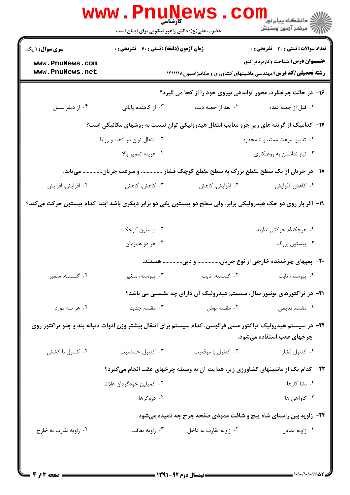|                                                                                                                | www.PnuNews<br>حضرت علی(ع): دانش راهبر نیکویی برای ایمان است     |                                                                                         | ر دانشڪاه پيام نور<br>ا∜ مرکز آزمون وسنڊش                                                                                                                            |  |  |
|----------------------------------------------------------------------------------------------------------------|------------------------------------------------------------------|-----------------------------------------------------------------------------------------|----------------------------------------------------------------------------------------------------------------------------------------------------------------------|--|--|
| <b>سری سوال : ۱ یک</b><br>www.PnuNews.com<br>www.PnuNews.net                                                   | زمان آزمون (دقیقه) : تستی : 60 ٪ تشریحی : 0                      |                                                                                         | <b>تعداد سوالات : تستی : 30 ٪ تشریحی : 0</b><br><b>عنـــوان درس:</b> شناخت وكاربردتراكتور<br><b>رشته تحصیلی/کد درس:</b> مهندسی ماشینهای کشاورزی و مکانیزاسیون۱۴۱۱۱۱۸ |  |  |
| ۱۶- در حالت چرخگرد، محور تواندهی نیروی خود را از کجا می گیرد؟                                                  |                                                                  |                                                                                         |                                                                                                                                                                      |  |  |
| ۰۴ از دیفرانسیل                                                                                                | ۰۳ از کاهنده پایانی                                              | ۰۲ بعد از جعبه دنده                                                                     | ٠١. قبل از جعبه دنده                                                                                                                                                 |  |  |
|                                                                                                                |                                                                  |                                                                                         | ۱۷– کدامیک از گزینه های زیر جزو معایب انتقال هیدرولیکی توان نسبت به روشهای مکانیکی است؟                                                                              |  |  |
|                                                                                                                | ۰۲ انتقال توان در انحنا و زوایا<br>۰۱ تغییر سرعت ممتد و نا محدود |                                                                                         |                                                                                                                                                                      |  |  |
|                                                                                                                | ۰۴ هزينه تعمير بالا                                              |                                                                                         | ۰۳ نیاز نداشتن به روغنکاری                                                                                                                                           |  |  |
|                                                                                                                |                                                                  |                                                                                         | ۱۸− در جریان از یک سطح مقطع بزرگ به سطح مقطع کوچک فشار  و سرعت جریان مییابد.                                                                                         |  |  |
| ۰۴ افزايش، افزايش                                                                                              | ۰۳ کاهش، کاهش                                                    | ۰۲ افزایش، کاهش                                                                         | ۰۱ كاهش، افزايش                                                                                                                                                      |  |  |
| ۱۹– اگر بار روی دو جک هیدرولیکی برابر، ولی سطح دو پیستون یکی دو برابر دیگری باشد ابتدا کدام پیستون حرکت میکند؟ |                                                                  |                                                                                         |                                                                                                                                                                      |  |  |
|                                                                                                                | ۰۲ پیستون کوچک                                                   |                                                                                         | ۰۱ هیچکدام حرکتی ندارند                                                                                                                                              |  |  |
|                                                                                                                | ۰۴ هر دو همزمان                                                  |                                                                                         | ۰۳ پیستون بزرگ                                                                                                                                                       |  |  |
|                                                                                                                |                                                                  |                                                                                         | +۲- پمپهای چرخدنده خارجی از نوع جریان و دبی هستند.                                                                                                                   |  |  |
| ۰۴ گسسته، متغیر                                                                                                | ۰۳ پیوسته، متغیر                                                 | ٠٢ گسسته، ثابت                                                                          | ٠١. پيوسته، ثابت                                                                                                                                                     |  |  |
|                                                                                                                |                                                                  | ۲۱- در تراکتورهای یونیور سال، سیستم هیدرولیک آن دارای چه مقسمی می باشد؟                 |                                                                                                                                                                      |  |  |
| ۰۴ هر سه مورد                                                                                                  | ۰۳ مقسم جدید                                                     | ۰۲ مقسم بوش                                                                             | ۰۱ مقسم قدیمی                                                                                                                                                        |  |  |
| ۲۲– در سیستم هیدرولیک تراکتور مسی فرگوسن، کدام سیستم برای انتقال بیشتر وزن ادوات دنباله بند و جلو تراکتور روی  |                                                                  |                                                                                         | چرخهای عقب استفاده میشود.                                                                                                                                            |  |  |
| ۰۴ کنترل با کشش                                                                                                | ۰۳ کنترل حساسیت                                                  | ٠٢ كنترل با موقعيت                                                                      | ۰۱ کنترل فشار                                                                                                                                                        |  |  |
|                                                                                                                |                                                                  | <b>۲۳</b> - کدام یک از ماشینهای کشاورزی زیر، هدایت آن به وسیله چرخهای عقب انجام میگیرد؟ |                                                                                                                                                                      |  |  |
|                                                                                                                | ۰۲ کمباین خودگردان غلات                                          |                                                                                         | ۰۱ نشا کارها                                                                                                                                                         |  |  |
|                                                                                                                | ۰۴ دروگرها                                                       |                                                                                         | ۰۳ گاوآهن ها                                                                                                                                                         |  |  |
|                                                                                                                |                                                                  |                                                                                         | <b>۲۴</b> - زاویه بین راستای شاه پیچ و شافت عمودی صفحه چرخ چه نامیده میشود.                                                                                          |  |  |
| ۰۴ زاویه تقارب به خارج                                                                                         | ۰۳ زاويه تعاقب                                                   | ۰۲ زاويه تقارب به داخل                                                                  | ٠١ زاويه تمايل                                                                                                                                                       |  |  |
|                                                                                                                |                                                                  |                                                                                         |                                                                                                                                                                      |  |  |